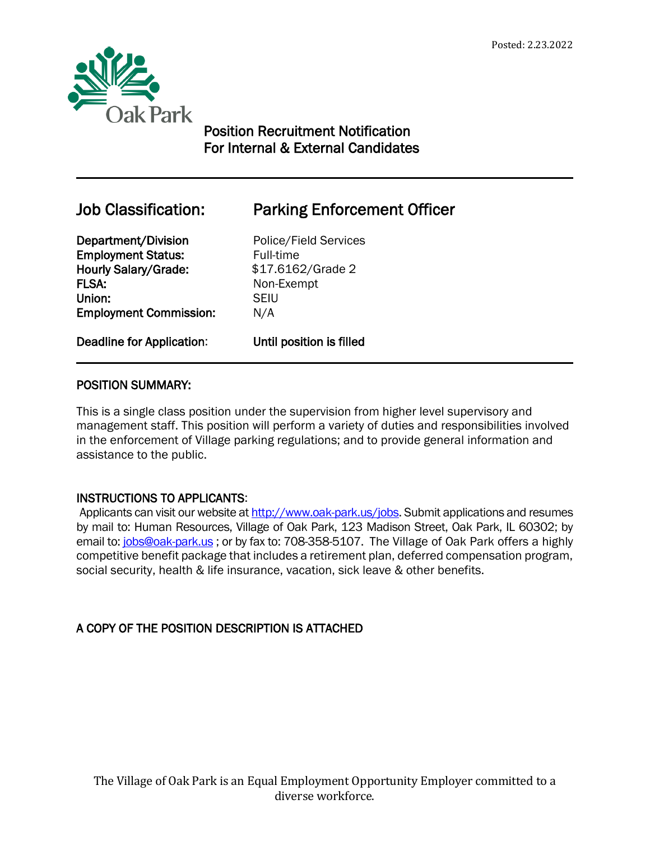

# Position Recruitment Notification For Internal & External Candidates

 $\overline{a}$ 

# Job Classification: Parking Enforcement Officer

Department/Division Police/Field Services **Employment Status:** Full-time Hourly Salary/Grade: \$17.6162/Grade 2 FLSA: Non-Exempt Union: SEIU Employment Commission: N/A

Deadline for Application: Until position is filled

# POSITION SUMMARY:

This is a single class position under the supervision from higher level supervisory and management staff. This position will perform a variety of duties and responsibilities involved in the enforcement of Village parking regulations; and to provide general information and assistance to the public.

# INSTRUCTIONS TO APPLICANTS:

Applicants can visit our website at [http://www.oak-park.us/j](http://www.oak-park.us/)obs. Submit applications and resumes by mail to: Human Resources, Village of Oak Park, 123 Madison Street, Oak Park, IL 60302; by email to: [jobs@oak-park.us](mailto:jobs@oak-park.us); or by fax to: 708-358-5107. The Village of Oak Park offers a highly competitive benefit package that includes a retirement plan, deferred compensation program, social security, health & life insurance, vacation, sick leave & other benefits.

# A COPY OF THE POSITION DESCRIPTION IS ATTACHED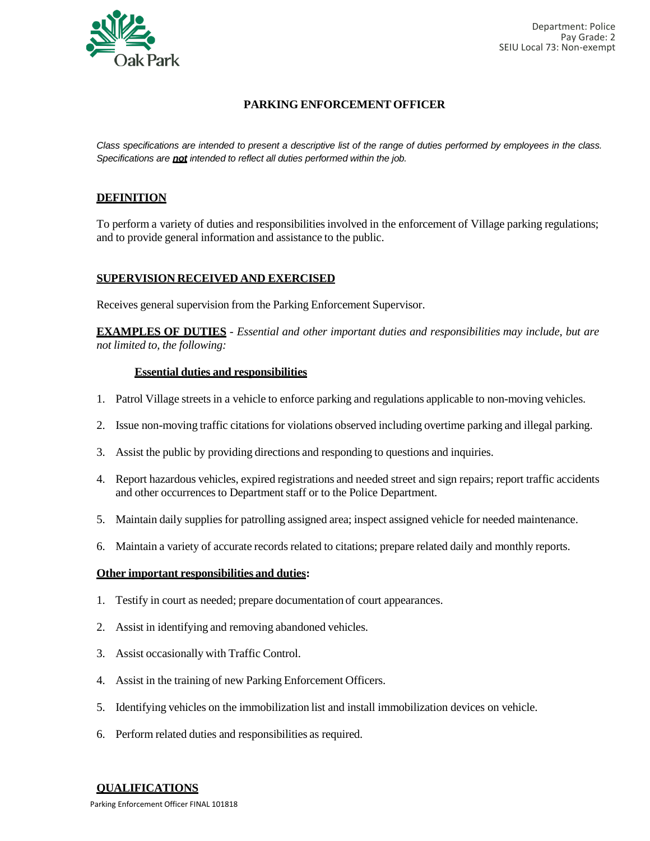

#### **PARKING ENFORCEMENT OFFICER**

Class specifications are intended to present a descriptive list of the range of duties performed by employees in the class. *Specifications are not intended to reflect all duties performed within the job.*

#### **DEFINITION**

To perform a variety of duties and responsibilitiesinvolved in the enforcement of Village parking regulations; and to provide general information and assistance to the public.

#### **SUPERVISION RECEIVED AND EXERCISED**

Receives general supervision from the Parking Enforcement Supervisor.

**EXAMPLES OF DUTIES** - *Essential and other important duties and responsibilities may include, but are not limited to, the following:*

#### **Essential duties and responsibilities**

- 1. Patrol Village streets in a vehicle to enforce parking and regulations applicable to non-moving vehicles.
- 2. Issue non-moving traffic citations for violations observed including overtime parking and illegal parking.
- 3. Assist the public by providing directions and responding to questions and inquiries.
- 4. Report hazardous vehicles, expired registrations and needed street and sign repairs; report traffic accidents and other occurrences to Department staff or to the Police Department.
- 5. Maintain daily supplies for patrolling assigned area; inspect assigned vehicle for needed maintenance.
- 6. Maintain a variety of accurate records related to citations; prepare related daily and monthly reports.

#### **Other important responsibilities and duties:**

- 1. Testify in court as needed; prepare documentation of court appearances.
- 2. Assist in identifying and removing abandoned vehicles.
- 3. Assist occasionally with Traffic Control.
- 4. Assist in the training of new Parking Enforcement Officers.
- 5. Identifying vehicles on the immobilization list and install immobilization devices on vehicle.
- 6. Perform related duties and responsibilities as required.

#### **QUALIFICATIONS**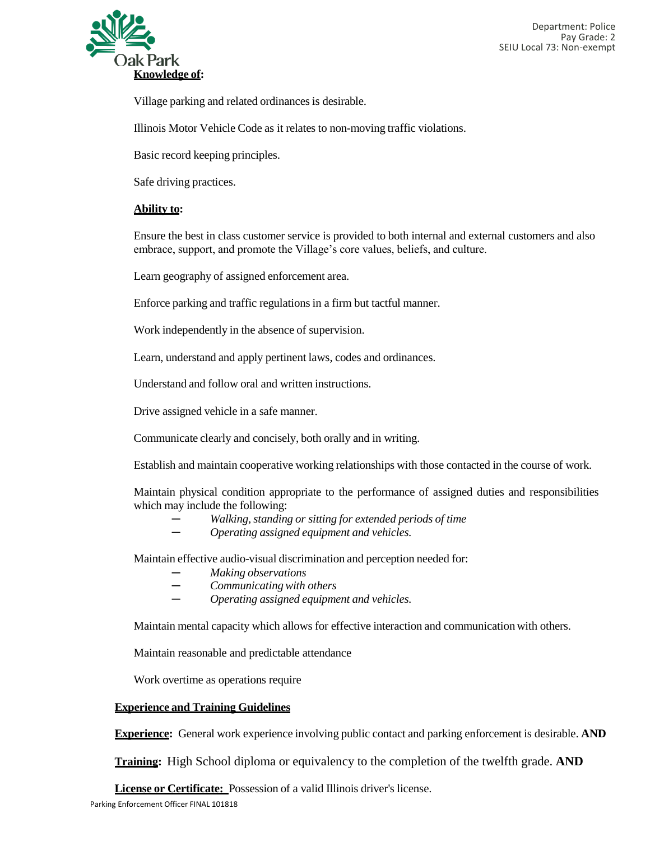

Village parking and related ordinances is desirable.

Illinois Motor Vehicle Code as it relates to non-moving traffic violations.

Basic record keeping principles.

Safe driving practices.

#### **Ability to:**

Ensure the best in class customer service is provided to both internal and external customers and also embrace, support, and promote the Village's core values, beliefs, and culture.

Learn geography of assigned enforcement area.

Enforce parking and traffic regulations in a firm but tactful manner.

Work independently in the absence of supervision.

Learn, understand and apply pertinent laws, codes and ordinances.

Understand and follow oral and written instructions.

Drive assigned vehicle in a safe manner.

Communicate clearly and concisely, both orally and in writing.

Establish and maintain cooperative working relationships with those contacted in the course of work.

Maintain physical condition appropriate to the performance of assigned duties and responsibilities which may include the following:

- *─ Walking, standing or sitting for extended periods of time*
- *─ Operating assigned equipment and vehicles.*

Maintain effective audio-visual discrimination and perception needed for:

- *─ Making observations*
- $Communicating with others$
- *─ Operating assigned equipment and vehicles.*

Maintain mental capacity which allows for effective interaction and communication with others.

Maintain reasonable and predictable attendance

Work overtime as operations require

#### **Experience and Training Guidelines**

**Experience:** General work experience involving public contact and parking enforcement is desirable. **AND**

**Training:** High School diploma or equivalency to the completion of the twelfth grade. **AND**

**License or Certificate:** Possession of a valid Illinois driver's license.